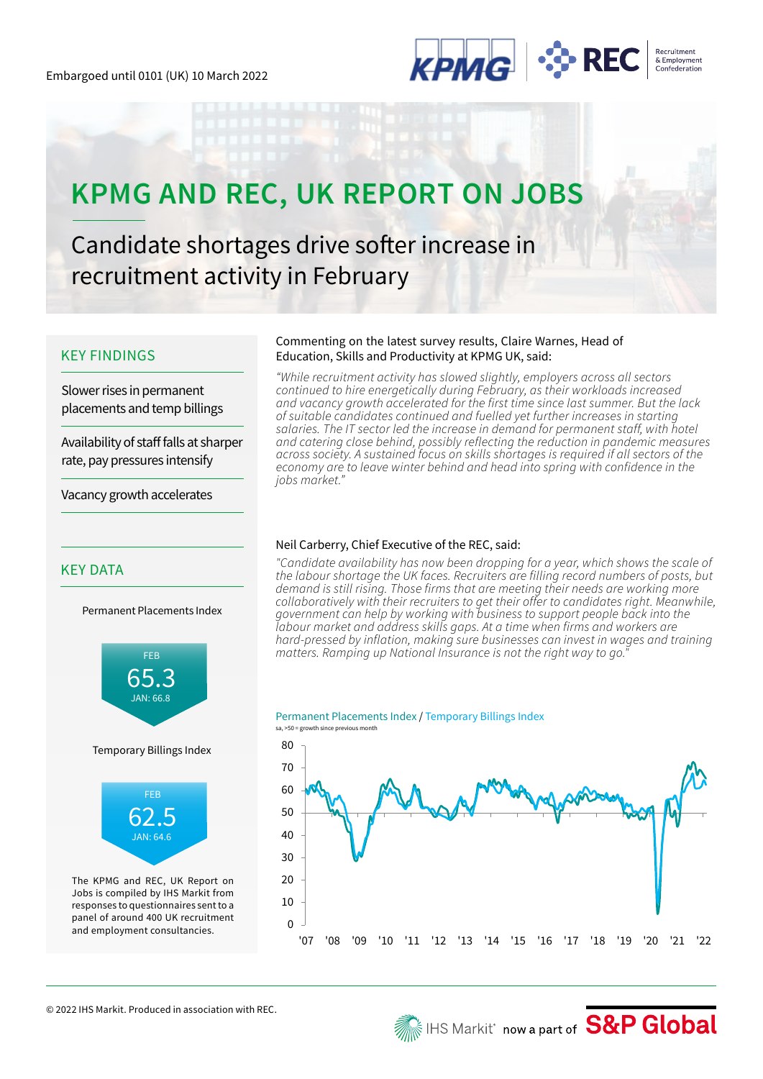

# **KPMG AND REC, UK REPORT ON JOBS**

Candidate shortages drive softer increase in recruitment activity in February

### KEY FINDINGS

Slower rises in permanent placements and temp billings

Availability of staff falls at sharper rate, pay pressures intensify

Vacancy growth accelerates

## KEY DATA

Permanent Placements Index



### Commenting on the latest survey results, Claire Warnes, Head of Education, Skills and Productivity at KPMG UK, said:

*"While recruitment activity has slowed slightly, employers across all sectors continued to hire energetically during February, as their workloads increased and vacancy growth accelerated for the first time since last summer. But the lack of suitable candidates continued and fuelled yet further increases in starting salaries. The IT sector led the increase in demand for permanent staff, with hotel and catering close behind, possibly reflecting the reduction in pandemic measures across society. A sustained focus on skills shortages is required if all sectors of the economy are to leave winter behind and head into spring with confidence in the jobs market."*

### Neil Carberry, Chief Executive of the REC, said:

*"Candidate availability has now been dropping for a year, which shows the scale of the labour shortage the UK faces. Recruiters are filling record numbers of posts, but demand is still rising. Those firms that are meeting their needs are working more collaboratively with their recruiters to get their offer to candidates right. Meanwhile, government can help by working with business to support people back into the labour market and address skills gaps. At a time when firms and workers are hard-pressed by inflation, making sure businesses can invest in wages and training matters. Ramping up National Insurance is not the right way to go."*

### Permanent Placements Index / Temporary Billings Index

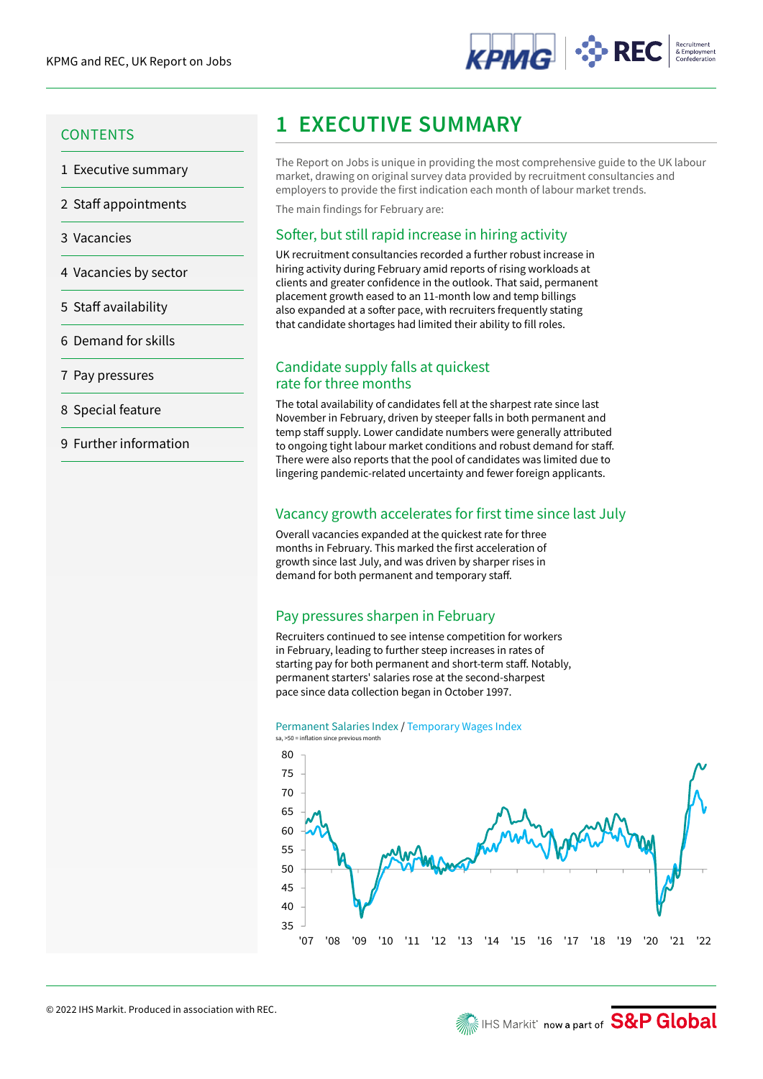

- 1 Executive summary
- 2 Staff appointments
- 3 Vacancies
- 4 Vacancies by sector
- 5 Staff availability
- 6 Demand for skills
- 7 Pay pressures
- 8 Special feature
- 9 Further information

# **1 EXECUTIVE SUMMARY 1 EXECUTIVE SUMMARY**

The Report on Jobs is unique in providing the most comprehensive guide to the UK labour market, drawing on original survey data provided by recruitment consultancies and employers to provide the first indication each month of labour market trends.

The main findings for February are:

## Softer, but still rapid increase in hiring activity

UK recruitment consultancies recorded a further robust increase in hiring activity during February amid reports of rising workloads at clients and greater confidence in the outlook. That said, permanent placement growth eased to an 11-month low and temp billings also expanded at a softer pace, with recruiters frequently stating that candidate shortages had limited their ability to fill roles.

## Candidate supply falls at quickest rate for three months

The total availability of candidates fell at the sharpest rate since last November in February, driven by steeper falls in both permanent and temp staff supply. Lower candidate numbers were generally attributed to ongoing tight labour market conditions and robust demand for staff. There were also reports that the pool of candidates was limited due to lingering pandemic-related uncertainty and fewer foreign applicants.

## Vacancy growth accelerates for first time since last July

Overall vacancies expanded at the quickest rate for three months in February. This marked the first acceleration of growth since last July, and was driven by sharper rises in demand for both permanent and temporary staff.

## Pay pressures sharpen in February

Recruiters continued to see intense competition for workers in February, leading to further steep increases in rates of starting pay for both permanent and short-term staff. Notably, permanent starters' salaries rose at the second-sharpest pace since data collection began in October 1997.

Permanent Salaries Index / Temporary Wages Index sa, >50 = inflation since previous month

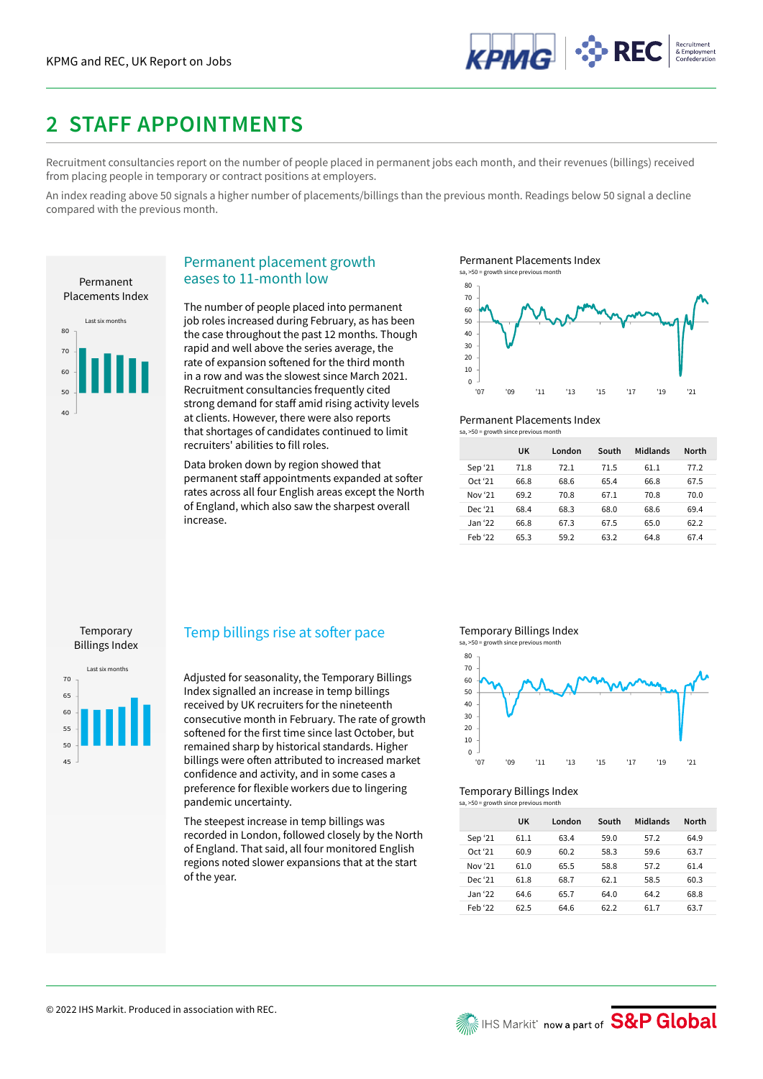

## **2 STAFF APPOINTMENTS**

Recruitment consultancies report on the number of people placed in permanent jobs each month, and their revenues (billings) received from placing people in temporary or contract positions at employers.

An index reading above 50 signals a higher number of placements/billings than the previous month. Readings below 50 signal a decline compared with the previous month.



## Permanent placement growth eases to 11-month low

The number of people placed into permanent job roles increased during February, as has been the case throughout the past 12 months. Though rapid and well above the series average, the rate of expansion softened for the third month in a row and was the slowest since March 2021. Recruitment consultancies frequently cited strong demand for staff amid rising activity levels at clients. However, there were also reports that shortages of candidates continued to limit recruiters' abilities to fill roles.

Data broken down by region showed that permanent staff appointments expanded at softer rates across all four English areas except the North of England, which also saw the sharpest overall increase.

Permanent Placements Index





### Permanent Placements Index

 $sa. > 50$  = growth since previous  $m$ 

|         | UK   | London | South | Midlands | <b>North</b> |
|---------|------|--------|-------|----------|--------------|
| Sep '21 | 71.8 | 72.1   | 71.5  | 61.1     | 77.2         |
| Oct '21 | 66.8 | 68.6   | 65.4  | 66.8     | 67.5         |
| Nov '21 | 69.2 | 70.8   | 67.1  | 70.8     | 70.0         |
| Dec '21 | 68.4 | 68.3   | 68.0  | 68.6     | 69.4         |
| Jan '22 | 66.8 | 67.3   | 67.5  | 65.0     | 62.2         |
| Feb '22 | 65.3 | 59.2   | 63.2  | 64.8     | 67.4         |

### Temporary Billings Index



### Temp billings rise at softer pace

Adjusted for seasonality, the Temporary Billings Index signalled an increase in temp billings received by UK recruiters for the nineteenth consecutive month in February. The rate of growth softened for the first time since last October, but remained sharp by historical standards. Higher billings were often attributed to increased market confidence and activity, and in some cases a preference for flexible workers due to lingering pandemic uncertainty.

The steepest increase in temp billings was recorded in London, followed closely by the North of England. That said, all four monitored English regions noted slower expansions that at the start of the year.

### Temporary Billings Index



### Temporary Billings Index

| sa, >50 = growth since previous month |      |        |       |          |              |  |  |
|---------------------------------------|------|--------|-------|----------|--------------|--|--|
|                                       | UK   | London | South | Midlands | <b>North</b> |  |  |
| Sep '21                               | 61.1 | 63.4   | 59.0  | 57.2     | 64.9         |  |  |
| Oct '21                               | 60.9 | 60.2   | 58.3  | 59.6     | 63.7         |  |  |
| Nov '21                               | 61.0 | 65.5   | 58.8  | 57.2     | 61.4         |  |  |
| Dec '21                               | 61.8 | 68.7   | 62 1  | 58.5     | 60.3         |  |  |
| Jan '22                               | 64.6 | 65.7   | 64.0  | 64.2     | 68.8         |  |  |
| Feb '22                               | 62.5 | 64.6   | 62.2  | 61.7     | 63.7         |  |  |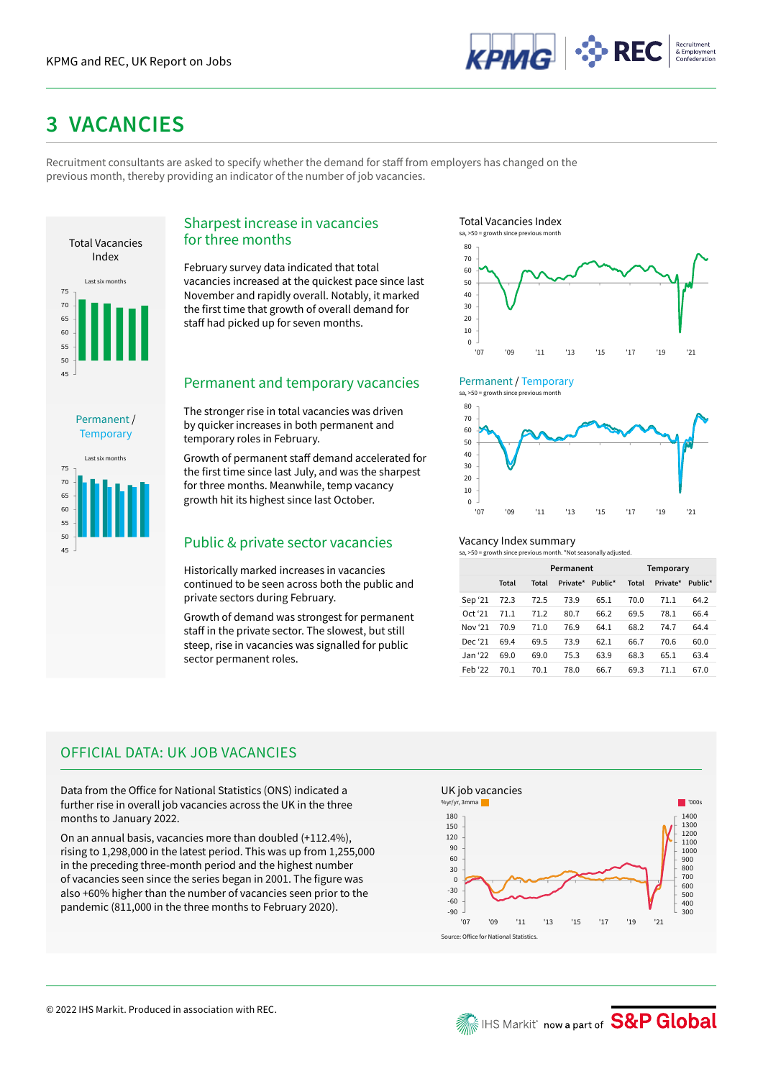

# **3 VACANCIES**

Recruitment consultants are asked to specify whether the demand for staff from employers has changed on the previous month, thereby providing an indicator of the number of job vacancies.



Last six months

Permanent / **Temporary** 

## Sharpest increase in vacancies for three months

February survey data indicated that total vacancies increased at the quickest pace since last November and rapidly overall. Notably, it marked the first time that growth of overall demand for staff had picked up for seven months.

## Permanent and temporary vacancies

The stronger rise in total vacancies was driven by quicker increases in both permanent and temporary roles in February.

Growth of permanent staff demand accelerated for the first time since last July, and was the sharpest for three months. Meanwhile, temp vacancy growth hit its highest since last October.

## so  $\overline{a_{5}}$  and the summary<br>
Public & private sector vacancies and the vacancy Index summary

Historically marked increases in vacancies continued to be seen across both the public and private sectors during February.

Growth of demand was strongest for permanent staff in the private sector. The slowest, but still steep, rise in vacancies was signalled for public sector permanent roles.

Total Vacancies Index



#### Permanent / Temporary  $sa. > 50 = p$



### Vacancy Index summary

|         |       | Permanent |          |         |       | Temporary |         |  |
|---------|-------|-----------|----------|---------|-------|-----------|---------|--|
|         | Total | Total     | Private* | Public* | Total | Private*  | Public* |  |
| Sep '21 | 72.3  | 72.5      | 73.9     | 65.1    | 70.0  | 71.1      | 64.2    |  |
| Oct '21 | 71.1  | 71.2      | 80.7     | 66.2    | 69.5  | 78.1      | 66.4    |  |
| Nov '21 | 70.9  | 71.0      | 76.9     | 64.1    | 68.2  | 74.7      | 64.4    |  |
| Dec '21 | 69.4  | 69.5      | 73.9     | 62.1    | 66.7  | 70.6      | 60.0    |  |
| Jan '22 | 69.0  | 69.0      | 75.3     | 63.9    | 68.3  | 65.1      | 63.4    |  |
| Feb '22 | 70.1  | 70.1      | 78.0     | 66.7    | 69.3  | 71.1      | 67.0    |  |

## OFFICIAL DATA: UK JOB VACANCIES

Data from the Office for National Statistics (ONS) indicated a further rise in overall job vacancies across the UK in the three months to January 2022.

On an annual basis, vacancies more than doubled (+112.4%), rising to 1,298,000 in the latest period. This was up from 1,255,000 in the preceding three-month period and the highest number of vacancies seen since the series began in 2001. The figure was also +60% higher than the number of vacancies seen prior to the pandemic (811,000 in the three months to February 2020).

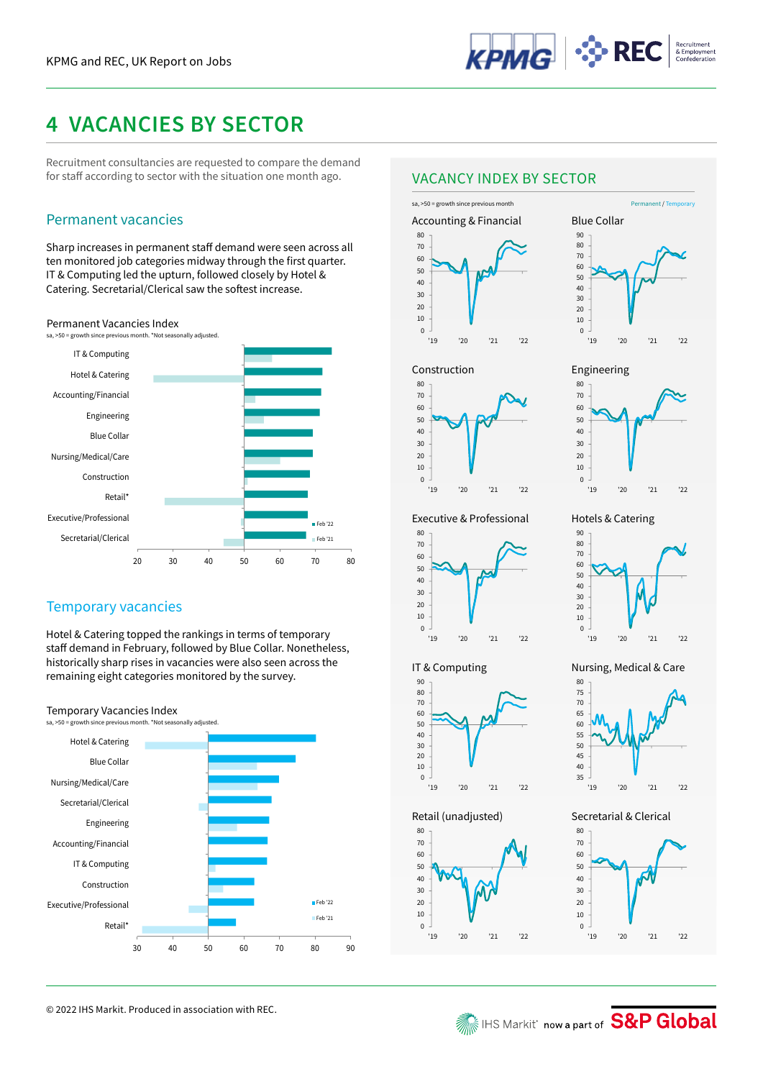

# **4 VACANCIES BY SECTOR**

Recruitment consultancies are requested to compare the demand for staff according to sector with the situation one month ago.

## Permanent vacancies Accounting & Financial

Sharp increases in permanent staff demand were seen across all ten monitored job categories midway through the first quarter. IT & Computing led the upturn, followed closely by Hotel & Catering. Secretarial/Clerical saw the softest increase.

### Permanent Vacancies Index



## Temporary vacancies

Hotel & Catering topped the rankings in terms of temporary staff demand in February, followed by Blue Collar. Nonetheless, historically sharp rises in vacancies were also seen across the remaining eight categories monitored by the survey.

### Temporary Vacancies Index



© 2022 IHS Markit. Produced in association with REC.

## VACANCY INDEX BY SECTOR





Construction



Executive & Professional



IT & Computing

'19 '20 '21 '22

Retail (unadjusted)





Engineering

Nursing, Medical & Care

'19 '20 '21 '22

Hotels & Catering



Secretarial & Clerical





IHS Markit' now a part of S&P Global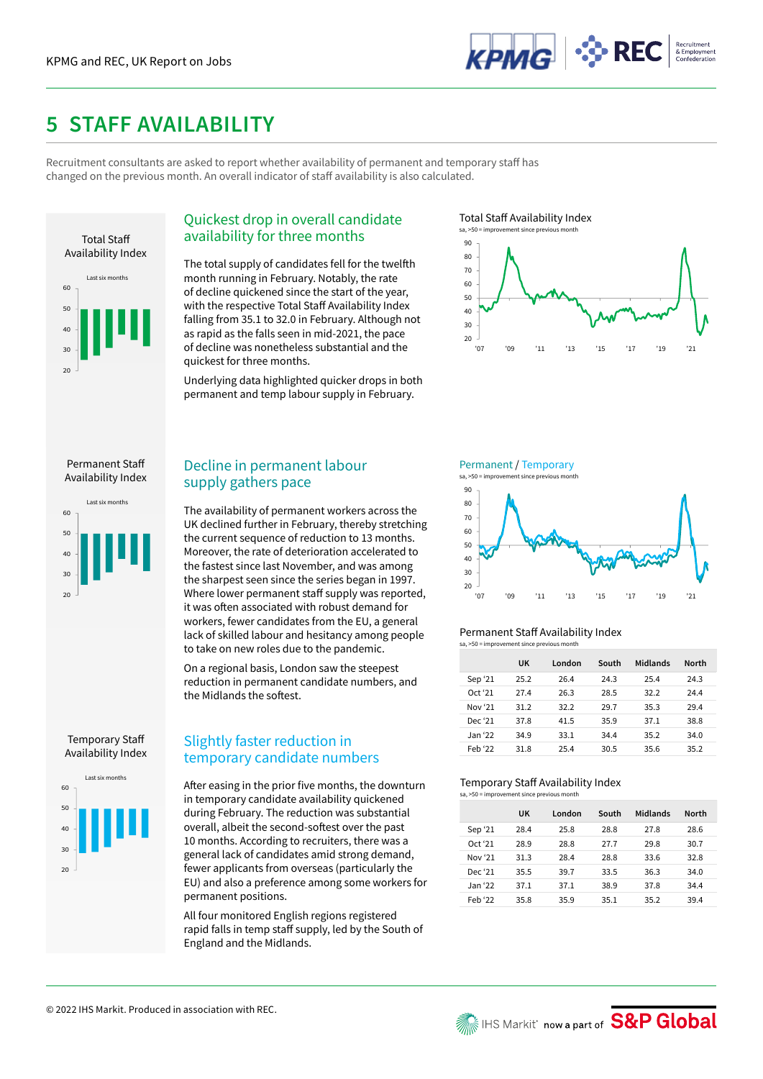

## **5 STAFF AVAILABILITY**

Recruitment consultants are asked to report whether availability of permanent and temporary staff has changed on the previous month. An overall indicator of staff availability is also calculated.



## Quickest drop in overall candidate availability for three months

The total supply of candidates fell for the twelfth month running in February. Notably, the rate of decline quickened since the start of the year, with the respective Total Staff Availability Index falling from 35.1 to 32.0 in February. Although not as rapid as the falls seen in mid-2021, the pace of decline was nonetheless substantial and the quickest for three months.

Underlying data highlighted quicker drops in both permanent and temp labour supply in February.





### Permanent Staff Availability Index





## Temporary Staff Availability Index



## Decline in permanent labour supply gathers pace

The availability of permanent workers across the UK declined further in February, thereby stretching the current sequence of reduction to 13 months. Moreover, the rate of deterioration accelerated to the fastest since last November, and was among the sharpest seen since the series began in 1997. Where lower permanent staff supply was reported, it was often associated with robust demand for workers, fewer candidates from the EU, a general lack of skilled labour and hesitancy among people to take on new roles due to the pandemic.

On a regional basis, London saw the steepest reduction in permanent candidate numbers, and the Midlands the softest.

## Slightly faster reduction in temporary candidate numbers

After easing in the prior five months, the downturn in temporary candidate availability quickened during February. The reduction was substantial overall, albeit the second-softest over the past 10 months. According to recruiters, there was a general lack of candidates amid strong demand, fewer applicants from overseas (particularly the EU) and also a preference among some workers for permanent positions.

All four monitored English regions registered rapid falls in temp staff supply, led by the South of England and the Midlands.

Permanent / Temporary





### Permanent Staff Availability Index sa, >50 = improvement since previous month

|         | UK   | London | South | Midlands | <b>North</b> |
|---------|------|--------|-------|----------|--------------|
| Sep '21 | 25.2 | 26.4   | 24.3  | 25.4     | 24.3         |
| Oct '21 | 27.4 | 26.3   | 28.5  | 32.2     | 24.4         |
| Nov '21 | 31.2 | 32.2   | 29.7  | 35.3     | 29.4         |
| Dec '21 | 37.8 | 41.5   | 35.9  | 37.1     | 38.8         |
| Jan '22 | 34.9 | 33.1   | 34.4  | 35.2     | 34.0         |
| Feb '22 | 31.8 | 25.4   | 30.5  | 35.6     | 35.2         |

## Temporary Staff Availability Index

| sa, >50 = improvement since previous month |      |        |       |          |              |  |  |
|--------------------------------------------|------|--------|-------|----------|--------------|--|--|
|                                            | UK   | London | South | Midlands | <b>North</b> |  |  |
| Sep '21                                    | 28.4 | 25.8   | 28.8  | 27.8     | 28.6         |  |  |
| Oct '21                                    | 28.9 | 28.8   | 27.7  | 29.8     | 30.7         |  |  |
| Nov '21                                    | 31.3 | 28.4   | 28.8  | 33.6     | 32.8         |  |  |
| Dec '21                                    | 35.5 | 39.7   | 33.5  | 36.3     | 34.0         |  |  |
| Jan '22                                    | 37.1 | 37.1   | 38.9  | 37.8     | 34.4         |  |  |
| Feb '22                                    | 35.8 | 35.9   | 35.1  | 35.2     | 39.4         |  |  |

**We IHS Markit' now a part of S&P Global**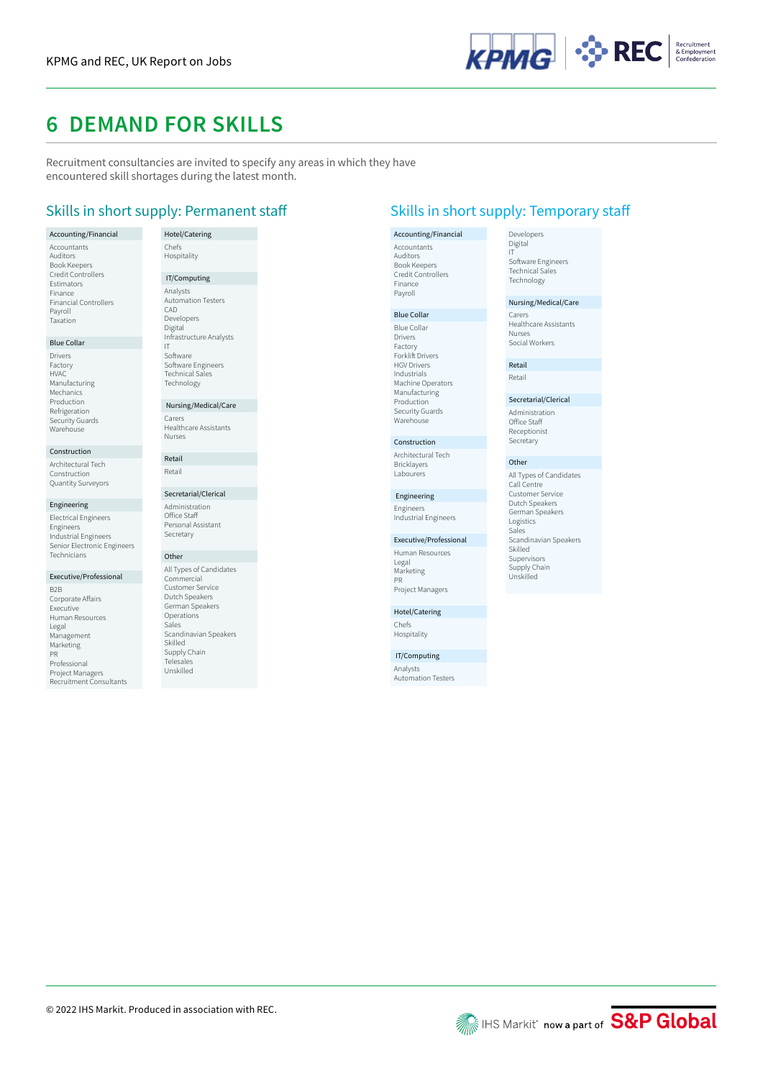

## **6 DEMAND FOR SKILLS**

Recruitment consultancies are invited to specify any areas in which they have encountered skill shortages during the latest month.

## Skills in short supply: Permanent staff Skills in short supply: Temporary staff

### Accounting/Financial Accountants Auditors Book Keepers Credit Controllers Estimators Finance Financial Controllers Payroll Taxation

### Blue Collar

Drivers Factory HVAC Manufacturing Mechanics Production Refrigeration Security Guards Warehouse

### Construction

Architectural Tech Construction Quantity Surveyors

#### Engineering

Electrical Engineers Engineers Industrial Engineers Senior Electronic Engineers Technicians

### Executive/Professional

B2B Corporate Affairs Executive Human Resources Legal Management Marketing PR Professional Project Managers Recruitment Consultants

### Hotel/Catering Chefs Hospitality IT/Computing Analysts Automation Testers CAD Developers Digital Infrastructure Analysts IT Software Software Engineers Technical Sales

 Nursing/Medical/Care Carers Healthcare Assistants Nurses

Technology

Retail Retail

#### Secretarial/Clerical Administration Office Staff

Personal Assistant Secretary

## Other

All Types of Candidates Commercial Customer Service Dutch Speakers German Speakers Operations Sales Scandinavian Speakers Skilled Supply Chain Telesales Unskilled

### Accounting/Financial Accountants Auditors Book Keepers Credit Controllers Finance Payroll

Blue Collar

Blue Collar Drivers Factory Forklift Drivers HGV Drivers Industrials Machine Operators Manufacturing Production Security Guards Warehouse

### Construction

Architectural Tech Bricklayers Labourers

## Engineering

Engineers Industrial Engineers

### Executive/Professional

Human Resources Legal Marketing PR Project Managers

### Hotel/Catering Chefs Hospitality

IT/Computing

Analysts Automation Testers

#### Developers Digital IT

Software Engineers Technical Sales Technology

### Nursing/Medical/Care

Carers Healthcare Assistants Nurses Social Workers

Retail Retail

Secretarial/Clerical Administration Office Staff Receptionist **Secretary** 

### **Other**

All Types of Candidates Call Centre Customer Service Dutch Speakers German Speakers Logistics Sales Scandinavian Speakers Skilled Supervisors Supply Chain Unskilled

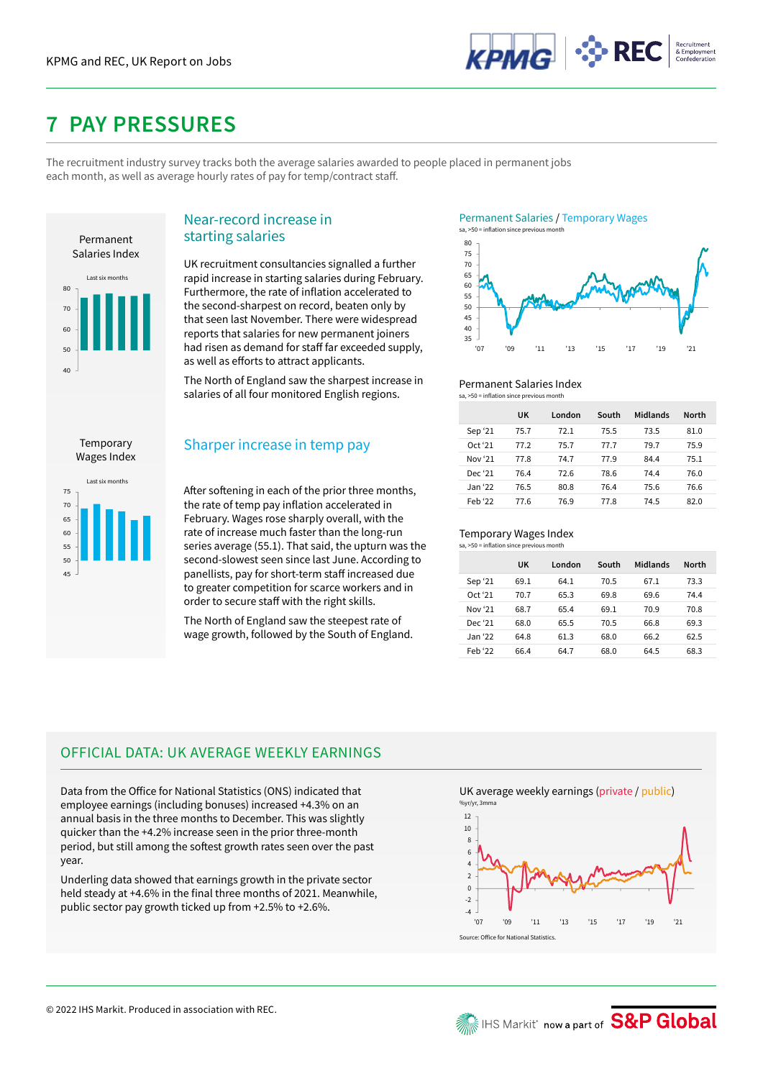

# **7 PAY PRESSURES**

The recruitment industry survey tracks both the average salaries awarded to people placed in permanent jobs each month, as well as average hourly rates of pay for temp/contract staff.



## Near-record increase in starting salaries

UK recruitment consultancies signalled a further rapid increase in starting salaries during February. Furthermore, the rate of inflation accelerated to the second-sharpest on record, beaten only by that seen last November. There were widespread reports that salaries for new permanent joiners had risen as demand for staff far exceeded supply, as well as efforts to attract applicants.

The North of England saw the sharpest increase in salaries of all four monitored English regions.

Temporary Wages Index



## Sharper increase in temp pay

After softening in each of the prior three months, the rate of temp pay inflation accelerated in February. Wages rose sharply overall, with the rate of increase much faster than the long-run series average (55.1). That said, the upturn was the second-slowest seen since last June. According to panellists, pay for short-term staff increased due to greater competition for scarce workers and in order to secure staff with the right skills.

The North of England saw the steepest rate of wage growth, followed by the South of England.





### Permanent Salaries Index

| sa, >50 = inflation since previous month |  |
|------------------------------------------|--|
|------------------------------------------|--|

|         | UK   | London | South | Midlands | <b>North</b> |
|---------|------|--------|-------|----------|--------------|
| Sep '21 | 75.7 | 72.1   | 75.5  | 73.5     | 81.0         |
| Oct '21 | 77.2 | 75.7   | 77.7  | 79.7     | 75.9         |
| Nov '21 | 77.8 | 74.7   | 77.9  | 84.4     | 75.1         |
| Dec '21 | 76.4 | 72 G   | 78.6  | 74.4     | 76.0         |
| Jan '22 | 76.5 | 80.8   | 76.4  | 75.6     | 76.6         |
| Feb '22 | 77.6 | 76.9   | 77.8  | 74.5     | 82.0         |

#### Temporary Wages Index  $\approx$  >50 = inflation since p

|         | UK   | London | South | Midlands | <b>North</b> |
|---------|------|--------|-------|----------|--------------|
| Sep '21 | 69.1 | 64.1   | 70.5  | 67.1     | 73.3         |
| Oct '21 | 70.7 | 65.3   | 69.8  | 69.6     | 74.4         |
| Nov '21 | 68.7 | 65.4   | 69.1  | 70.9     | 70.8         |
| Dec '21 | 68.0 | 65.5   | 70.5  | 66.8     | 69.3         |
| Jan '22 | 64.8 | 61.3   | 68.0  | 66.2     | 62.5         |
| Feb '22 | 66.4 | 64.7   | 68.0  | 64.5     | 68.3         |

## OFFICIAL DATA: UK AVERAGE WEEKLY EARNINGS

Data from the Office for National Statistics (ONS) indicated that employee earnings (including bonuses) increased +4.3% on an annual basis in the three months to December. This was slightly quicker than the +4.2% increase seen in the prior three-month period, but still among the softest growth rates seen over the past year.

Underling data showed that earnings growth in the private sector held steady at +4.6% in the final three months of 2021. Meanwhile, public sector pay growth ticked up from +2.5% to +2.6%.

UK average weekly earnings (private / public) %yr/yr, 3r

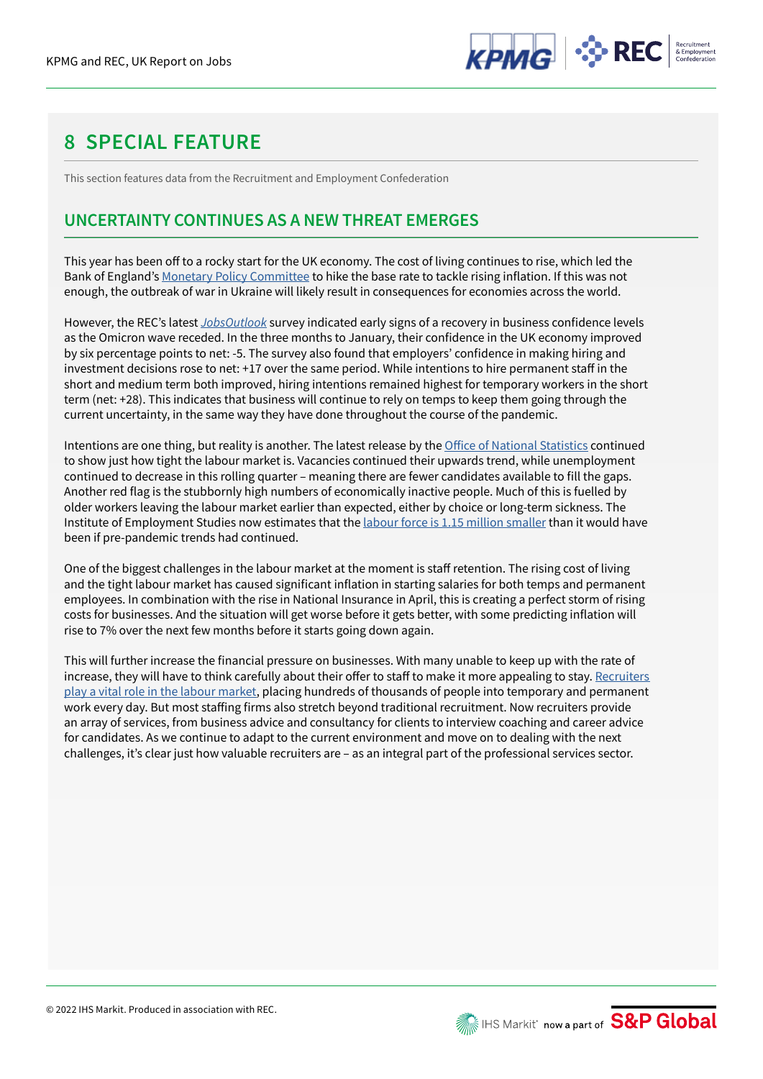

# **8 SPECIAL FEATURE**

This section features data from the Recruitment and Employment Confederation

## **UNCERTAINTY CONTINUES AS A NEW THREAT EMERGES**

This year has been off to a rocky start for the UK economy. The cost of living continues to rise, which led the Bank of England's Monetary Policy Committee to hike the base rate to tackle rising inflation. If this was not enough, the outbreak of war in Ukraine will likely result in consequences for economies across the world.

However, the REC's latest *JobsOutlook* survey indicated early signs of a recovery in business confidence levels as the Omicron wave receded. In the three months to January, their confidence in the UK economy improved by six percentage points to net: -5. The survey also found that employers' confidence in making hiring and investment decisions rose to net: +17 over the same period. While intentions to hire permanent staff in the short and medium term both improved, hiring intentions remained highest for temporary workers in the short term (net: +28). This indicates that business will continue to rely on temps to keep them going through the current uncertainty, in the same way they have done throughout the course of the pandemic.

Intentions are one thing, but reality is another. The latest release by the Office of National Statistics continued to show just how tight the labour market is. Vacancies continued their upwards trend, while unemployment continued to decrease in this rolling quarter – meaning there are fewer candidates available to fill the gaps. Another red flag is the stubbornly high numbers of economically inactive people. Much of this is fuelled by older workers leaving the labour market earlier than expected, either by choice or long-term sickness. The Institute of Employment Studies now estimates that the labour force is 1.15 million smaller than it would have been if pre-pandemic trends had continued.

One of the biggest challenges in the labour market at the moment is staff retention. The rising cost of living and the tight labour market has caused significant inflation in starting salaries for both temps and permanent employees. In combination with the rise in National Insurance in April, this is creating a perfect storm of rising costs for businesses. And the situation will get worse before it gets better, with some predicting inflation will rise to 7% over the next few months before it starts going down again.

This will further increase the financial pressure on businesses. With many unable to keep up with the rate of increase, they will have to think carefully about their offer to staff to make it more appealing to stay. Recruiters play a vital role in the labour market, placing hundreds of thousands of people into temporary and permanent work every day. But most staffing firms also stretch beyond traditional recruitment. Now recruiters provide an array of services, from business advice and consultancy for clients to interview coaching and career advice for candidates. As we continue to adapt to the current environment and move on to dealing with the next challenges, it's clear just how valuable recruiters are – as an integral part of the professional services sector.

**ME IHS Markit' now a part of S&P Global**